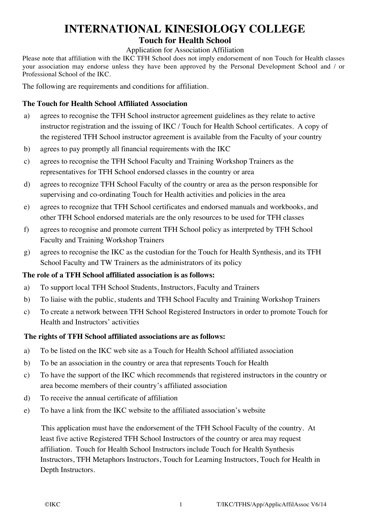# **INTERNATIONAL KINESIOLOGY COLLEGE**

## **Touch for Health School**

#### Application for Association Affiliation

Please note that affiliation with the IKC TFH School does not imply endorsement of non Touch for Health classes your association may endorse unless they have been approved by the Personal Development School and / or Professional School of the IKC.

The following are requirements and conditions for affiliation.

## **The Touch for Health School Affiliated Association**

- a) agrees to recognise the TFH School instructor agreement guidelines as they relate to active instructor registration and the issuing of IKC / Touch for Health School certificates. A copy of the registered TFH School instructor agreement is available from the Faculty of your country
- b) agrees to pay promptly all financial requirements with the IKC
- c) agrees to recognise the TFH School Faculty and Training Workshop Trainers as the representatives for TFH School endorsed classes in the country or area
- d) agrees to recognize TFH School Faculty of the country or area as the person responsible for supervising and co-ordinating Touch for Health activities and policies in the area
- e) agrees to recognize that TFH School certificates and endorsed manuals and workbooks, and other TFH School endorsed materials are the only resources to be used for TFH classes
- f) agrees to recognise and promote current TFH School policy as interpreted by TFH School Faculty and Training Workshop Trainers
- g) agrees to recognise the IKC as the custodian for the Touch for Health Synthesis, and its TFH School Faculty and TW Trainers as the administrators of its policy

#### **The role of a TFH School affiliated association is as follows:**

- a) To support local TFH School Students, Instructors, Faculty and Trainers
- b) To liaise with the public, students and TFH School Faculty and Training Workshop Trainers
- c) To create a network between TFH School Registered Instructors in order to promote Touch for Health and Instructors' activities

## **The rights of TFH School affiliated associations are as follows:**

- a) To be listed on the IKC web site as a Touch for Health School affiliated association
- b) To be an association in the country or area that represents Touch for Health
- c) To have the support of the IKC which recommends that registered instructors in the country or area become members of their country's affiliated association
- d) To receive the annual certificate of affiliation
- e) To have a link from the IKC website to the affiliated association's website

This application must have the endorsement of the TFH School Faculty of the country. At least five active Registered TFH School Instructors of the country or area may request affiliation. Touch for Health School Instructors include Touch for Health Synthesis Instructors, TFH Metaphors Instructors, Touch for Learning Instructors, Touch for Health in Depth Instructors.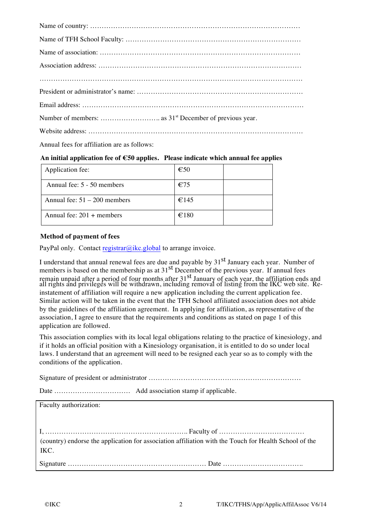| Annual fees for affiliation are as follows: |
|---------------------------------------------|

#### **An initial application fee of !50 applies. Please indicate which annual fee applies**

| Application fee:               | $\epsilon$ 50 |  |
|--------------------------------|---------------|--|
| Annual fee: 5 - 50 members     | $E$ 75        |  |
| Annual fee: $51 - 200$ members | €145          |  |
| Annual fee: $201 +$ members    | €180          |  |

#### **Method of payment of fees**

PayPal only. Contact registrar@ikc.global to arrange invoice.

I understand that annual renewal fees are due and payable by 31<sup>st</sup> January each year. Number of members is based on the membership as at  $31<sup>st</sup>$  December of the previous year. If annual fees remain unpaid after a period of four months after 31<sup>st</sup> January of each year, the affiliation ends and all rights and privileges will be withdrawn, including removal of listing from the IKC web site. Reinstatement of affiliation will require a new application including the current application fee. Similar action will be taken in the event that the TFH School affiliated association does not abide by the guidelines of the affiliation agreement. In applying for affiliation, as representative of the association, I agree to ensure that the requirements and conditions as stated on page 1 of this application are followed.

This association complies with its local legal obligations relating to the practice of kinesiology, and if it holds an official position with a Kinesiology organisation, it is entitled to do so under local laws. I understand that an agreement will need to be resigned each year so as to comply with the conditions of the application.

Signature of president or administrator …………………………………………………………

Date …………………………… Add association stamp if applicable.

Faculty authorization:

I, …………………………………………………….. Faculty of ………………………………. (country) endorse the application for association affiliation with the Touch for Health School of the IKC.